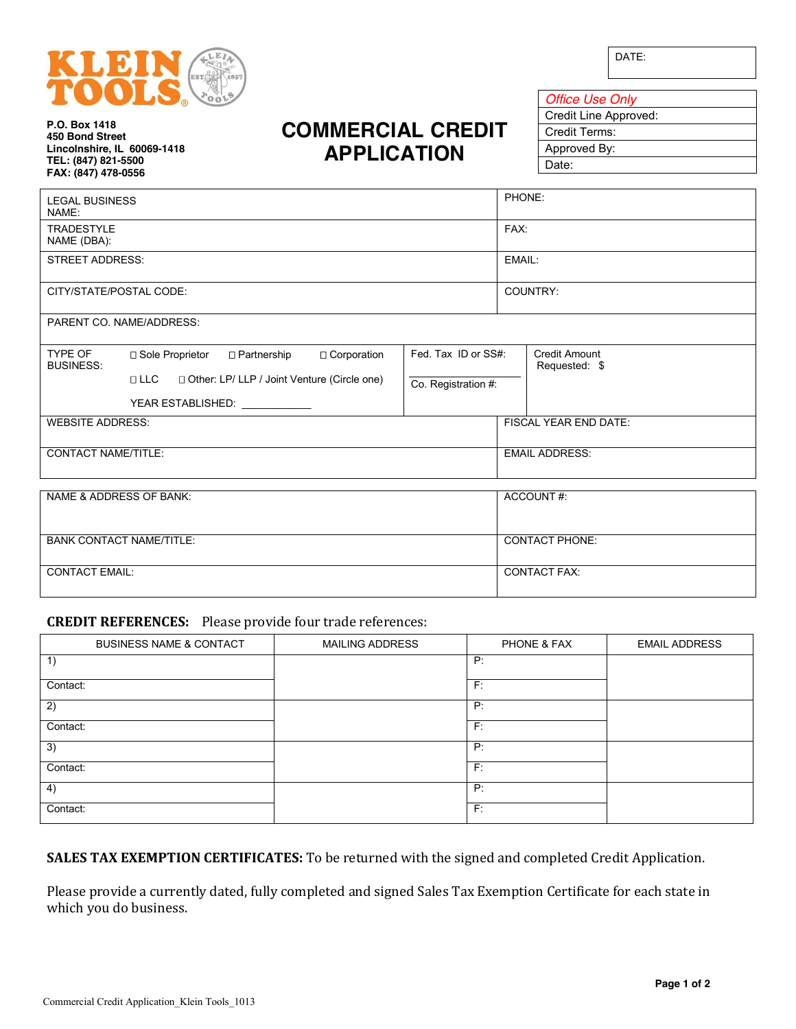

DATE:

**P.O. Box 1418 450 Bond Street Lincolnshire, IL 60069-1418 TEL: (847) 821-5500 FAX: (847) 478-0556**

## **COMMERCIAL CREDIT APPLICATION**

| <b>Office Use Only</b> |
|------------------------|
| Credit Line Approved:  |
| Credit Terms:          |
| Approved By:           |
| Date:                  |
|                        |

|                                 |                                                             |                     |                       | PHONE:                                |  |
|---------------------------------|-------------------------------------------------------------|---------------------|-----------------------|---------------------------------------|--|
| <b>LEGAL BUSINESS</b><br>NAME:  |                                                             |                     |                       |                                       |  |
| <b>TRADESTYLE</b>               |                                                             |                     | FAX:                  |                                       |  |
| NAME (DBA):                     |                                                             |                     |                       |                                       |  |
| <b>STREET ADDRESS:</b>          |                                                             |                     | EMAIL:                |                                       |  |
| CITY/STATE/POSTAL CODE:         |                                                             |                     | COUNTRY:              |                                       |  |
| PARENT CO. NAME/ADDRESS:        |                                                             |                     |                       |                                       |  |
| TYPE OF<br><b>BUSINESS:</b>     | □ Corporation<br>□ Sole Proprietor<br>□ Partnership         | Fed. Tax ID or SS#: |                       | <b>Credit Amount</b><br>Requested: \$ |  |
|                                 | □ Other: LP/ LLP / Joint Venture (Circle one)<br>$\Box$ LLC | Co. Registration #: |                       |                                       |  |
|                                 | YEAR ESTABLISHED:                                           |                     |                       |                                       |  |
| <b>WEBSITE ADDRESS:</b>         |                                                             |                     |                       | <b>FISCAL YEAR END DATE:</b>          |  |
| <b>CONTACT NAME/TITLE:</b>      |                                                             |                     | <b>EMAIL ADDRESS:</b> |                                       |  |
| NAME & ADDRESS OF BANK:         |                                                             |                     |                       | ACCOUNT#:                             |  |
|                                 |                                                             |                     |                       |                                       |  |
| <b>BANK CONTACT NAME/TITLE:</b> |                                                             |                     | <b>CONTACT PHONE:</b> |                                       |  |
| <b>CONTACT EMAIL:</b>           |                                                             | <b>CONTACT FAX:</b> |                       |                                       |  |

## **CREDIT REFERENCES:** Please provide four trade references:

| <b>BUSINESS NAME &amp; CONTACT</b> | <b>MAILING ADDRESS</b> | PHONE & FAX | <b>EMAIL ADDRESS</b> |
|------------------------------------|------------------------|-------------|----------------------|
| 1)                                 |                        | P:          |                      |
| Contact:                           |                        | F:          |                      |
| 2)                                 |                        | P:          |                      |
| Contact:                           |                        | F:          |                      |
| 3)                                 |                        | P:          |                      |
| Contact:                           |                        | F:          |                      |
| 4)                                 |                        | P:          |                      |
| Contact:                           |                        | F:          |                      |

**SALES TAX EXEMPTION CERTIFICATES:** To be returned with the signed and completed Credit Application.

Please provide a currently dated, fully completed and signed Sales Tax Exemption Certificate for each state in which you do business.